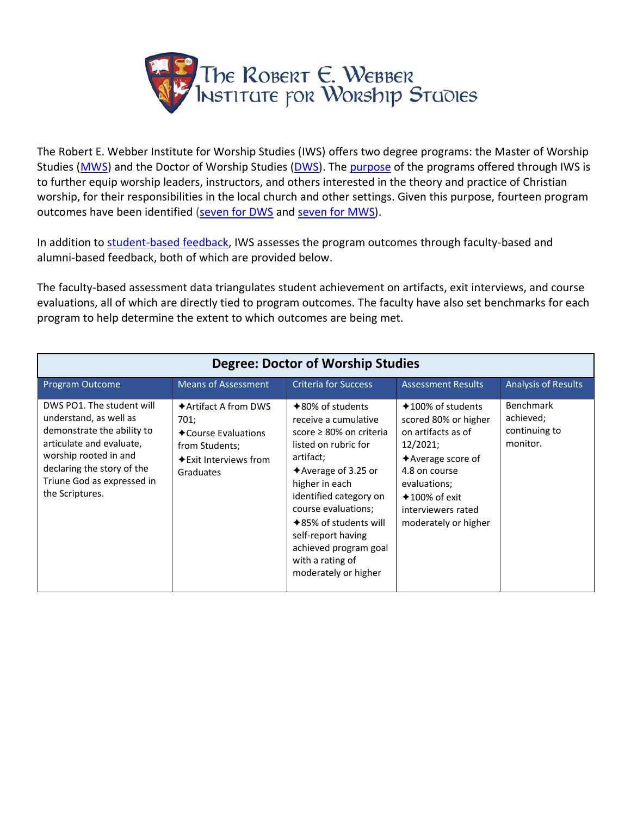

The Robert E. Webber Institute for Worship Studies (IWS) offers two degree programs: the Master of Worship Studies [\(MWS\)](https://iws.edu/academics/curriculum/mws/) and the Doctor of Worship Studies [\(DWS\)](https://iws.edu/academics/curriculum/dws/). The [purpose](https://iws.edu/academics/curriculum/#purpose) of the programs offered through IWS is to further equip worship leaders, instructors, and others interested in the theory and practice of Christian worship, for their responsibilities in the local church and other settings. Given this purpose, fourteen program outcomes have been identified [\(seven for DWS](https://iws.edu/academics/curriculum/dws/#dws-outcomes) and [seven for MWS\)](https://iws.edu/academics/curriculum/mws/#mws-outcomes).

In addition to [student-based feedback,](https://iws.edu/2021/07/student-achievement-and-institutional-effectiveness-2021/) IWS assesses the program outcomes through faculty-based and alumni-based feedback, both of which are provided below.

The faculty-based assessment data triangulates student achievement on artifacts, exit interviews, and course evaluations, all of which are directly tied to program outcomes. The faculty have also set benchmarks for each program to help determine the extent to which outcomes are being met.

| <b>Degree: Doctor of Worship Studies</b>                                                                                                                                                                              |                                                                                                                                          |                                                                                                                                                                                                                                                                                                                                         |                                                                                                                                                                                                                          |                                                            |
|-----------------------------------------------------------------------------------------------------------------------------------------------------------------------------------------------------------------------|------------------------------------------------------------------------------------------------------------------------------------------|-----------------------------------------------------------------------------------------------------------------------------------------------------------------------------------------------------------------------------------------------------------------------------------------------------------------------------------------|--------------------------------------------------------------------------------------------------------------------------------------------------------------------------------------------------------------------------|------------------------------------------------------------|
| Program Outcome                                                                                                                                                                                                       | <b>Means of Assessment</b>                                                                                                               | <b>Criteria for Success</b>                                                                                                                                                                                                                                                                                                             | <b>Assessment Results</b>                                                                                                                                                                                                | <b>Analysis of Results</b>                                 |
| DWS PO1. The student will<br>understand, as well as<br>demonstrate the ability to<br>articulate and evaluate,<br>worship rooted in and<br>declaring the story of the<br>Triune God as expressed in<br>the Scriptures. | $\triangle$ Artifact A from DWS<br>701;<br><b>← Course Evaluations</b><br>from Students;<br>$\bigstar$ Exit Interviews from<br>Graduates | $*80\%$ of students<br>receive a cumulative<br>score ≥ 80% on criteria<br>listed on rubric for<br>artifact;<br>$\triangle$ Average of 3.25 or<br>higher in each<br>identified category on<br>course evaluations;<br>$*85\%$ of students will<br>self-report having<br>achieved program goal<br>with a rating of<br>moderately or higher | $*100\%$ of students<br>scored 80% or higher<br>on artifacts as of<br>12/2021;<br>$\triangle$ Average score of<br>4.8 on course<br>evaluations;<br>$\bigstar$ 100% of exit<br>interviewers rated<br>moderately or higher | <b>Benchmark</b><br>achieved;<br>continuing to<br>monitor. |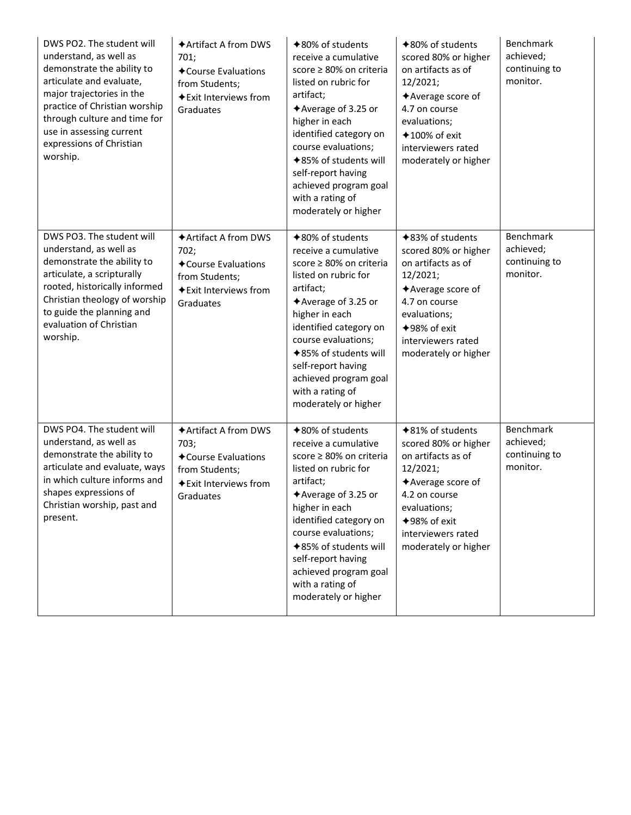| DWS PO2. The student will<br>understand, as well as<br>demonstrate the ability to<br>articulate and evaluate,<br>major trajectories in the<br>practice of Christian worship<br>through culture and time for<br>use in assessing current<br>expressions of Christian<br>worship. | ◆ Artifact A from DWS<br>701:<br>◆ Course Evaluations<br>from Students;<br><b>◆Exit Interviews from</b><br>Graduates | $*80\%$ of students<br>receive a cumulative<br>score ≥ 80% on criteria<br>listed on rubric for<br>artifact;<br>◆Average of 3.25 or<br>higher in each<br>identified category on<br>course evaluations;<br><b>◆85% of students will</b><br>self-report having<br>achieved program goal<br>with a rating of<br>moderately or higher | <b>→80% of students</b><br>scored 80% or higher<br>on artifacts as of<br>12/2021;<br>◆ Average score of<br>4.7 on course<br>evaluations;<br>$*100\%$ of exit<br>interviewers rated<br>moderately or higher    | Benchmark<br>achieved;<br>continuing to<br>monitor.        |
|---------------------------------------------------------------------------------------------------------------------------------------------------------------------------------------------------------------------------------------------------------------------------------|----------------------------------------------------------------------------------------------------------------------|----------------------------------------------------------------------------------------------------------------------------------------------------------------------------------------------------------------------------------------------------------------------------------------------------------------------------------|---------------------------------------------------------------------------------------------------------------------------------------------------------------------------------------------------------------|------------------------------------------------------------|
| DWS PO3. The student will<br>understand, as well as<br>demonstrate the ability to<br>articulate, a scripturally<br>rooted, historically informed<br>Christian theology of worship<br>to guide the planning and<br>evaluation of Christian<br>worship.                           | ◆ Artifact A from DWS<br>702;<br>◆ Course Evaluations<br>from Students;<br><b>◆Exit Interviews from</b><br>Graduates | <b>◆80% of students</b><br>receive a cumulative<br>score ≥ 80% on criteria<br>listed on rubric for<br>artifact;<br>◆Average of 3.25 or<br>higher in each<br>identified category on<br>course evaluations;<br>◆85% of students will<br>self-report having<br>achieved program goal<br>with a rating of<br>moderately or higher    | <b>◆83% of students</b><br>scored 80% or higher<br>on artifacts as of<br>12/2021;<br>◆ Average score of<br>4.7 on course<br>evaluations;<br><b>◆98% of exit</b><br>interviewers rated<br>moderately or higher | <b>Benchmark</b><br>achieved;<br>continuing to<br>monitor. |
| DWS PO4. The student will<br>understand, as well as<br>demonstrate the ability to<br>articulate and evaluate, ways<br>in which culture informs and<br>shapes expressions of<br>Christian worship, past and<br>present.                                                          | ◆ Artifact A from DWS<br>703;<br>◆ Course Evaluations<br>from Students;<br>◆ Exit Interviews from<br>Graduates       | <b>◆80% of students</b><br>receive a cumulative<br>score ≥ 80% on criteria<br>listed on rubric for<br>artifact;<br>◆ Average of 3.25 or<br>higher in each<br>identified category on<br>course evaluations;<br>◆85% of students will<br>self-report having<br>achieved program goal<br>with a rating of<br>moderately or higher   | <b>◆81% of students</b><br>scored 80% or higher<br>on artifacts as of<br>12/2021;<br>◆ Average score of<br>4.2 on course<br>evaluations;<br>◆98% of exit<br>interviewers rated<br>moderately or higher        | <b>Benchmark</b><br>achieved;<br>continuing to<br>monitor. |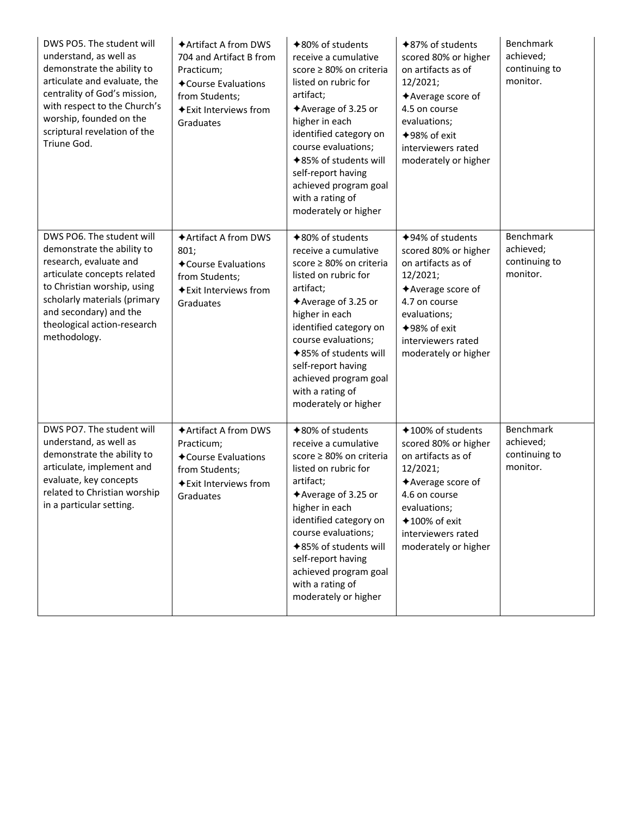| DWS PO5. The student will<br>understand, as well as<br>demonstrate the ability to<br>articulate and evaluate, the<br>centrality of God's mission,<br>with respect to the Church's<br>worship, founded on the<br>scriptural revelation of the<br>Triune God. | <b>★Artifact A from DWS</b><br>704 and Artifact B from<br>Practicum;<br>◆ Course Evaluations<br>from Students;<br>◆ Exit Interviews from<br>Graduates | <b>→80% of students</b><br>receive a cumulative<br>score ≥ 80% on criteria<br>listed on rubric for<br>artifact;<br>◆ Average of 3.25 or<br>higher in each<br>identified category on<br>course evaluations;<br><b>◆85% of students will</b><br>self-report having<br>achieved program goal<br>with a rating of<br>moderately or higher | <b>★87% of students</b><br>scored 80% or higher<br>on artifacts as of<br>12/2021;<br>◆ Average score of<br>4.5 on course<br>evaluations;<br><b>◆98% of exit</b><br>interviewers rated<br>moderately or higher | Benchmark<br>achieved;<br>continuing to<br>monitor.        |
|-------------------------------------------------------------------------------------------------------------------------------------------------------------------------------------------------------------------------------------------------------------|-------------------------------------------------------------------------------------------------------------------------------------------------------|---------------------------------------------------------------------------------------------------------------------------------------------------------------------------------------------------------------------------------------------------------------------------------------------------------------------------------------|---------------------------------------------------------------------------------------------------------------------------------------------------------------------------------------------------------------|------------------------------------------------------------|
| DWS PO6. The student will<br>demonstrate the ability to<br>research, evaluate and<br>articulate concepts related<br>to Christian worship, using<br>scholarly materials (primary<br>and secondary) and the<br>theological action-research<br>methodology.    | ◆ Artifact A from DWS<br>801;<br>◆ Course Evaluations<br>from Students;<br>◆ Exit Interviews from<br>Graduates                                        | <b>◆80% of students</b><br>receive a cumulative<br>score ≥ 80% on criteria<br>listed on rubric for<br>artifact;<br><b>★Average of 3.25 or</b><br>higher in each<br>identified category on<br>course evaluations;<br>◆85% of students will<br>self-report having<br>achieved program goal<br>with a rating of<br>moderately or higher  | <b>◆94% of students</b><br>scored 80% or higher<br>on artifacts as of<br>12/2021;<br>◆ Average score of<br>4.7 on course<br>evaluations;<br><b>◆98% of exit</b><br>interviewers rated<br>moderately or higher | <b>Benchmark</b><br>achieved;<br>continuing to<br>monitor. |
| DWS PO7. The student will<br>understand, as well as<br>demonstrate the ability to<br>articulate, implement and<br>evaluate, key concepts<br>related to Christian worship<br>in a particular setting.                                                        | ◆ Artifact A from DWS<br>Practicum;<br>◆ Course Evaluations<br>from Students;<br>◆ Exit Interviews from<br>Graduates                                  | <b>◆80% of students</b><br>receive a cumulative<br>score ≥ 80% on criteria<br>listed on rubric for<br>artifact;<br>◆ Average of 3.25 or<br>higher in each<br>identified category on<br>course evaluations;<br>◆85% of students will<br>self-report having<br>achieved program goal<br>with a rating of<br>moderately or higher        | <b>◆100% of students</b><br>scored 80% or higher<br>on artifacts as of<br>12/2021;<br>◆ Average score of<br>4.6 on course<br>evaluations;<br>$*100\%$ of exit<br>interviewers rated<br>moderately or higher   | <b>Benchmark</b><br>achieved;<br>continuing to<br>monitor. |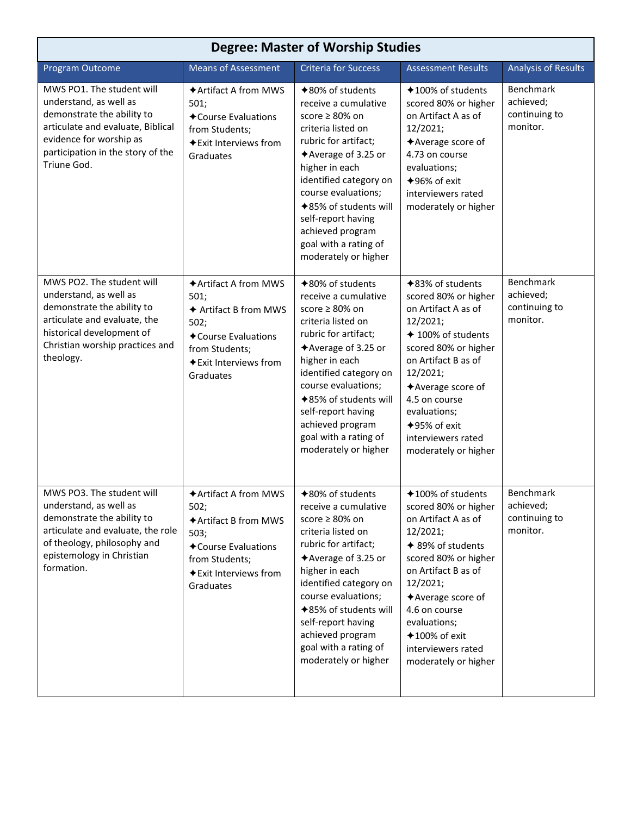| <b>Degree: Master of Worship Studies</b>                                                                                                                                                              |                                                                                                                                                             |                                                                                                                                                                                                                                                                                                                                      |                                                                                                                                                                                                                                                                                              |                                                            |
|-------------------------------------------------------------------------------------------------------------------------------------------------------------------------------------------------------|-------------------------------------------------------------------------------------------------------------------------------------------------------------|--------------------------------------------------------------------------------------------------------------------------------------------------------------------------------------------------------------------------------------------------------------------------------------------------------------------------------------|----------------------------------------------------------------------------------------------------------------------------------------------------------------------------------------------------------------------------------------------------------------------------------------------|------------------------------------------------------------|
| Program Outcome                                                                                                                                                                                       | <b>Means of Assessment</b>                                                                                                                                  | <b>Criteria for Success</b>                                                                                                                                                                                                                                                                                                          | <b>Assessment Results</b>                                                                                                                                                                                                                                                                    | <b>Analysis of Results</b>                                 |
| MWS PO1. The student will<br>understand, as well as<br>demonstrate the ability to<br>articulate and evaluate, Biblical<br>evidence for worship as<br>participation in the story of the<br>Triune God. | ◆ Artifact A from MWS<br>501;<br>◆ Course Evaluations<br>from Students;<br>◆ Exit Interviews from<br>Graduates                                              | <b>◆80% of students</b><br>receive a cumulative<br>score ≥ 80% on<br>criteria listed on<br>rubric for artifact;<br>◆Average of 3.25 or<br>higher in each<br>identified category on<br>course evaluations;<br><b>◆85% of students will</b><br>self-report having<br>achieved program<br>goal with a rating of<br>moderately or higher | <b>◆100% of students</b><br>scored 80% or higher<br>on Artifact A as of<br>12/2021;<br>◆ Average score of<br>4.73 on course<br>evaluations;<br>$+96%$ of exit<br>interviewers rated<br>moderately or higher                                                                                  | <b>Benchmark</b><br>achieved;<br>continuing to<br>monitor. |
| MWS PO2. The student will<br>understand, as well as<br>demonstrate the ability to<br>articulate and evaluate, the<br>historical development of<br>Christian worship practices and<br>theology.        | <b>◆Artifact A from MWS</b><br>501;<br>← Artifact B from MWS<br>502;<br>◆ Course Evaluations<br>from Students;<br><b>◆Exit Interviews from</b><br>Graduates | <b>◆80% of students</b><br>receive a cumulative<br>score ≥ 80% on<br>criteria listed on<br>rubric for artifact;<br>$*$ Average of 3.25 or<br>higher in each<br>identified category on<br>course evaluations;<br>◆85% of students will<br>self-report having<br>achieved program<br>goal with a rating of<br>moderately or higher     | <b>◆83% of students</b><br>scored 80% or higher<br>on Artifact A as of<br>12/2021;<br>◆ 100% of students<br>scored 80% or higher<br>on Artifact B as of<br>12/2021;<br>◆ Average score of<br>4.5 on course<br>evaluations;<br>$+95%$ of exit<br>interviewers rated<br>moderately or higher   | Benchmark<br>achieved;<br>continuing to<br>monitor.        |
| MWS PO3. The student will<br>understand, as well as<br>demonstrate the ability to<br>articulate and evaluate, the role<br>of theology, philosophy and<br>epistemology in Christian<br>formation.      | ◆ Artifact A from MWS<br>502;<br>◆ Artifact B from MWS<br>503;<br>◆ Course Evaluations<br>from Students;<br><b>◆Exit Interviews from</b><br>Graduates       | <b>◆80% of students</b><br>receive a cumulative<br>score ≥ 80% on<br>criteria listed on<br>rubric for artifact;<br>$*$ Average of 3.25 or<br>higher in each<br>identified category on<br>course evaluations;<br>◆85% of students will<br>self-report having<br>achieved program<br>goal with a rating of<br>moderately or higher     | <b>◆100% of students</b><br>scored 80% or higher<br>on Artifact A as of<br>12/2021;<br>◆ 89% of students<br>scored 80% or higher<br>on Artifact B as of<br>12/2021;<br>◆ Average score of<br>4.6 on course<br>evaluations;<br>$*100\%$ of exit<br>interviewers rated<br>moderately or higher | Benchmark<br>achieved;<br>continuing to<br>monitor.        |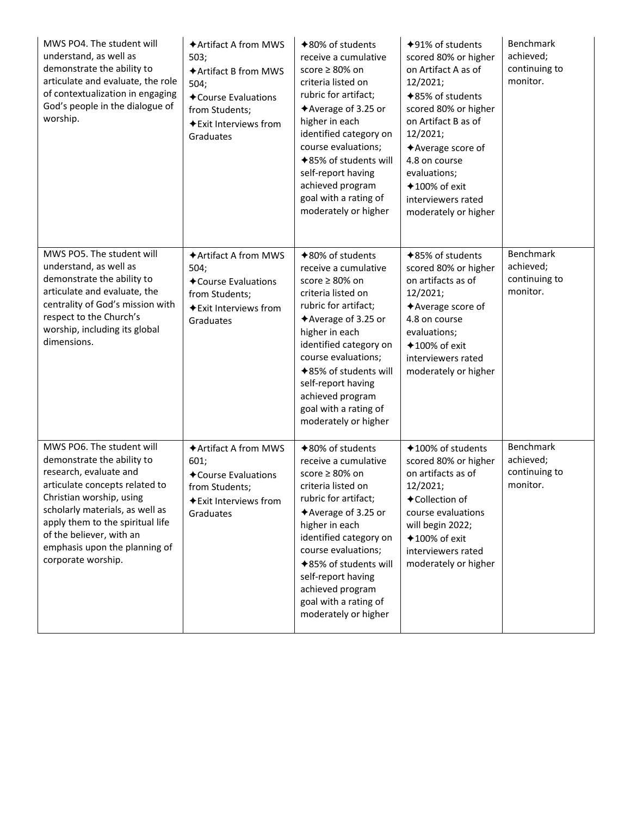| MWS PO4. The student will<br>understand, as well as<br>demonstrate the ability to<br>articulate and evaluate, the role<br>of contextualization in engaging<br>God's people in the dialogue of<br>worship.                                                                                                 | <b>★Artifact A from MWS</b><br>503;<br>◆ Artifact B from MWS<br>504;<br>◆ Course Evaluations<br>from Students;<br>◆ Exit Interviews from<br>Graduates | <b>★80% of students</b><br>receive a cumulative<br>score ≥ 80% on<br>criteria listed on<br>rubric for artifact;<br><b>★Average of 3.25 or</b><br>higher in each<br>identified category on<br>course evaluations;<br><b>◆85% of students will</b><br>self-report having<br>achieved program<br>goal with a rating of<br>moderately or higher | $+91\%$ of students<br>scored 80% or higher<br>on Artifact A as of<br>12/2021;<br><b>+85% of students</b><br>scored 80% or higher<br>on Artifact B as of<br>12/2021;<br>◆ Average score of<br>4.8 on course<br>evaluations;<br>$*100\%$ of exit<br>interviewers rated<br>moderately or higher | <b>Benchmark</b><br>achieved;<br>continuing to<br>monitor. |
|-----------------------------------------------------------------------------------------------------------------------------------------------------------------------------------------------------------------------------------------------------------------------------------------------------------|-------------------------------------------------------------------------------------------------------------------------------------------------------|---------------------------------------------------------------------------------------------------------------------------------------------------------------------------------------------------------------------------------------------------------------------------------------------------------------------------------------------|-----------------------------------------------------------------------------------------------------------------------------------------------------------------------------------------------------------------------------------------------------------------------------------------------|------------------------------------------------------------|
| MWS PO5. The student will<br>understand, as well as<br>demonstrate the ability to<br>articulate and evaluate, the<br>centrality of God's mission with<br>respect to the Church's<br>worship, including its global<br>dimensions.                                                                          | <b>◆Artifact A from MWS</b><br>504;<br>◆ Course Evaluations<br>from Students;<br><b>◆Exit Interviews from</b><br>Graduates                            | <b>◆80% of students</b><br>receive a cumulative<br>score $\geq 80\%$ on<br>criteria listed on<br>rubric for artifact;<br><b>★Average of 3.25 or</b><br>higher in each<br>identified category on<br>course evaluations;<br>◆85% of students will<br>self-report having<br>achieved program<br>goal with a rating of<br>moderately or higher  | <b>◆85% of students</b><br>scored 80% or higher<br>on artifacts as of<br>12/2021;<br>◆ Average score of<br>4.8 on course<br>evaluations;<br>$*100\%$ of exit<br>interviewers rated<br>moderately or higher                                                                                    | Benchmark<br>achieved;<br>continuing to<br>monitor.        |
| MWS PO6. The student will<br>demonstrate the ability to<br>research, evaluate and<br>articulate concepts related to<br>Christian worship, using<br>scholarly materials, as well as<br>apply them to the spiritual life<br>of the believer, with an<br>emphasis upon the planning of<br>corporate worship. | ◆ Artifact A from MWS<br>601;<br><b>← Course Evaluations</b><br>from Students;<br>◆ Exit Interviews from<br>Graduates                                 | <b>◆80% of students</b><br>receive a cumulative<br>score ≥ 80% on<br>criteria listed on<br>rubric for artifact;<br>◆Average of 3.25 or<br>higher in each<br>identified category on<br>course evaluations;<br>◆85% of students will<br>self-report having<br>achieved program<br>goal with a rating of<br>moderately or higher               | ◆100% of students<br>scored 80% or higher<br>on artifacts as of<br>12/2021;<br>◆Collection of<br>course evaluations<br>will begin 2022;<br>$*100\%$ of exit<br>interviewers rated<br>moderately or higher                                                                                     | Benchmark<br>achieved;<br>continuing to<br>monitor.        |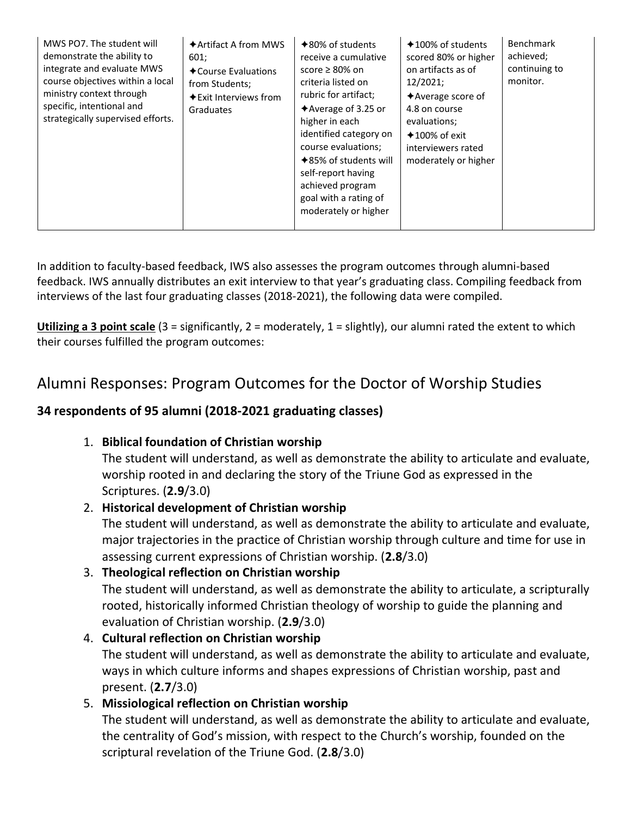| MWS PO7. The student will<br>demonstrate the ability to<br>integrate and evaluate MWS<br>course objectives within a local<br>ministry context through<br>specific, intentional and<br>strategically supervised efforts. | $\triangle$ Artifact A from MWS<br>601;<br><b>← Course Evaluations</b><br>from Students;<br>$\triangle$ Exit Interviews from<br>Graduates | $*80\%$ of students<br>receive a cumulative<br>score $\geq 80\%$ on<br>criteria listed on<br>rubric for artifact;<br>$\triangle$ Average of 3.25 or<br>higher in each<br>identified category on<br>course evaluations;<br>$*85\%$ of students will<br>self-report having<br>achieved program<br>goal with a rating of<br>moderately or higher | $*100\%$ of students<br>scored 80% or higher<br>on artifacts as of<br>12/2021;<br>$\triangle$ Average score of<br>4.8 on course<br>evaluations;<br>$+100\%$ of exit<br>interviewers rated<br>moderately or higher | Benchmark<br>achieved;<br>continuing to<br>monitor. |
|-------------------------------------------------------------------------------------------------------------------------------------------------------------------------------------------------------------------------|-------------------------------------------------------------------------------------------------------------------------------------------|-----------------------------------------------------------------------------------------------------------------------------------------------------------------------------------------------------------------------------------------------------------------------------------------------------------------------------------------------|-------------------------------------------------------------------------------------------------------------------------------------------------------------------------------------------------------------------|-----------------------------------------------------|
|-------------------------------------------------------------------------------------------------------------------------------------------------------------------------------------------------------------------------|-------------------------------------------------------------------------------------------------------------------------------------------|-----------------------------------------------------------------------------------------------------------------------------------------------------------------------------------------------------------------------------------------------------------------------------------------------------------------------------------------------|-------------------------------------------------------------------------------------------------------------------------------------------------------------------------------------------------------------------|-----------------------------------------------------|

In addition to faculty-based feedback, IWS also assesses the program outcomes through alumni-based feedback. IWS annually distributes an exit interview to that year's graduating class. Compiling feedback from interviews of the last four graduating classes (2018-2021), the following data were compiled.

**Utilizing a 3 point scale** (3 = significantly, 2 = moderately, 1 = slightly), our alumni rated the extent to which their courses fulfilled the program outcomes:

# Alumni Responses: Program Outcomes for the Doctor of Worship Studies

### **34 respondents of 95 alumni (2018-2021 graduating classes)**

1. **Biblical foundation of Christian worship**

The student will understand, as well as demonstrate the ability to articulate and evaluate, worship rooted in and declaring the story of the Triune God as expressed in the Scriptures. (**2.9**/3.0)

### 2. **Historical development of Christian worship**

The student will understand, as well as demonstrate the ability to articulate and evaluate, major trajectories in the practice of Christian worship through culture and time for use in assessing current expressions of Christian worship. (**2.8**/3.0)

# 3. **Theological reflection on Christian worship**

The student will understand, as well as demonstrate the ability to articulate, a scripturally rooted, historically informed Christian theology of worship to guide the planning and evaluation of Christian worship. (**2.9**/3.0)

#### 4. **Cultural reflection on Christian worship** The student will understand, as well as demonstrate the ability to articulate and evaluate, ways in which culture informs and shapes expressions of Christian worship, past and present. (**2.7**/3.0)

# 5. **Missiological reflection on Christian worship**

The student will understand, as well as demonstrate the ability to articulate and evaluate, the centrality of God's mission, with respect to the Church's worship, founded on the scriptural revelation of the Triune God. (**2.8**/3.0)